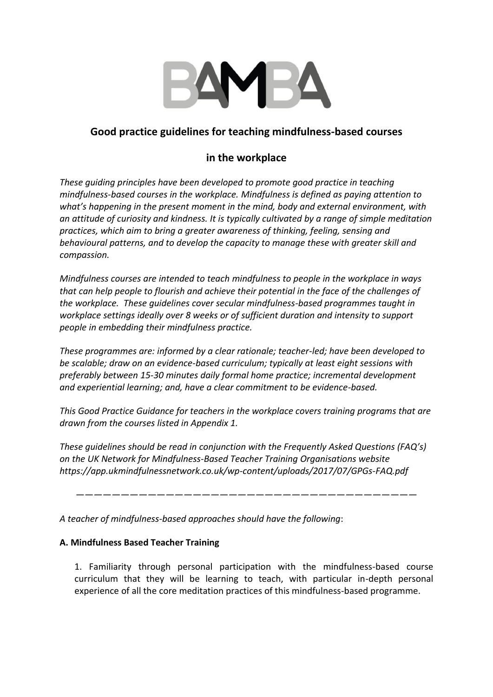

# **Good practice guidelines for teaching mindfulness-based courses**

# **in the workplace**

*These guiding principles have been developed to promote good practice in teaching mindfulness-based courses in the workplace. Mindfulness is defined as paying attention to what's happening in the present moment in the mind, body and external environment, with an attitude of curiosity and kindness. It is typically cultivated by a range of simple meditation practices, which aim to bring a greater awareness of thinking, feeling, sensing and behavioural patterns, and to develop the capacity to manage these with greater skill and compassion.*

*Mindfulness courses are intended to teach mindfulness to people in the workplace in ways that can help people to flourish and achieve their potential in the face of the challenges of the workplace. These guidelines cover secular mindfulness-based programmes taught in workplace settings ideally over 8 weeks or of sufficient duration and intensity to support people in embedding their mindfulness practice.*

*These programmes are: informed by a clear rationale; teacher-led; have been developed to be scalable; draw on an evidence-based curriculum; typically at least eight sessions with preferably between 15-30 minutes daily formal home practice; incremental development and experiential learning; and, have a clear commitment to be evidence-based.*

*This Good Practice Guidance for teachers in the workplace covers training programs that are drawn from the courses listed in Appendix 1.*

*These guidelines should be read in conjunction with the Frequently Asked Questions (FAQ's) on the UK Network for Mindfulness-Based Teacher Training Organisations website https://app.ukmindfulnessnetwork.co.uk/wp-content/uploads/2017/07/GPGs-FAQ.pdf*

*——————————————————————————————————————*

*A teacher of mindfulness-based approaches should have the following*:

## **A. Mindfulness Based Teacher Training**

1. Familiarity through personal participation with the mindfulness-based course curriculum that they will be learning to teach, with particular in-depth personal experience of all the core meditation practices of this mindfulness-based programme.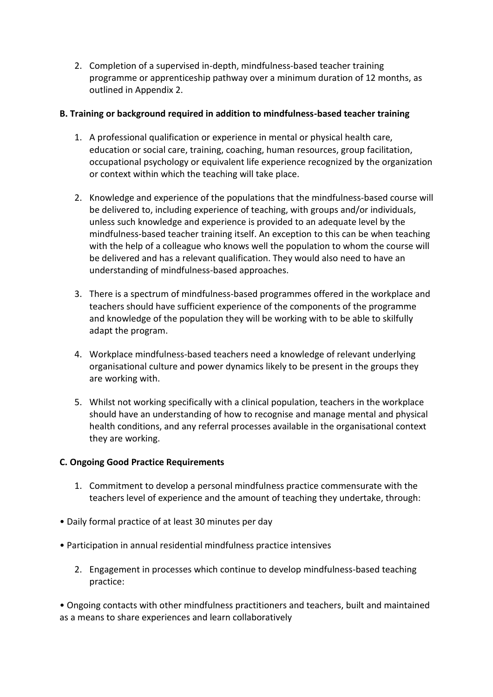2. Completion of a supervised in-depth, mindfulness-based teacher training programme or apprenticeship pathway over a minimum duration of 12 months, as outlined in Appendix 2.

### **B. Training or background required in addition to mindfulness-based teacher training**

- 1. A professional qualification or experience in mental or physical health care, education or social care, training, coaching, human resources, group facilitation, occupational psychology or equivalent life experience recognized by the organization or context within which the teaching will take place.
- 2. Knowledge and experience of the populations that the mindfulness-based course will be delivered to, including experience of teaching, with groups and/or individuals, unless such knowledge and experience is provided to an adequate level by the mindfulness-based teacher training itself. An exception to this can be when teaching with the help of a colleague who knows well the population to whom the course will be delivered and has a relevant qualification. They would also need to have an understanding of mindfulness-based approaches.
- 3. There is a spectrum of mindfulness-based programmes offered in the workplace and teachers should have sufficient experience of the components of the programme and knowledge of the population they will be working with to be able to skilfully adapt the program.
- 4. Workplace mindfulness-based teachers need a knowledge of relevant underlying organisational culture and power dynamics likely to be present in the groups they are working with.
- 5. Whilst not working specifically with a clinical population, teachers in the workplace should have an understanding of how to recognise and manage mental and physical health conditions, and any referral processes available in the organisational context they are working.

#### **C. Ongoing Good Practice Requirements**

- 1. Commitment to develop a personal mindfulness practice commensurate with the teachers level of experience and the amount of teaching they undertake, through:
- Daily formal practice of at least 30 minutes per day
- Participation in annual residential mindfulness practice intensives
	- 2. Engagement in processes which continue to develop mindfulness-based teaching practice:

• Ongoing contacts with other mindfulness practitioners and teachers, built and maintained as a means to share experiences and learn collaboratively